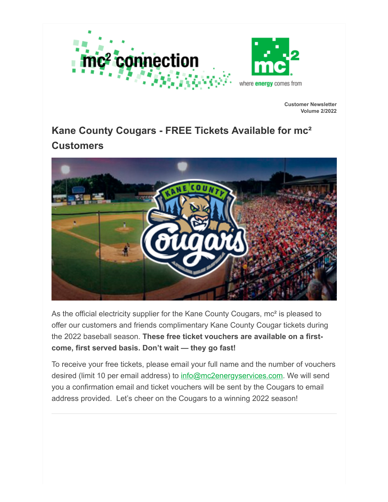

**Customer Newsletter Volume 2/2022**

## **Kane County Cougars - FREE Tickets Available for mc² Customers**



As the official electricity supplier for the Kane County Cougars, mc<sup>2</sup> is pleased to offer our customers and friends complimentary Kane County Cougar tickets during the 2022 baseball season. **These free ticket vouchers are available on a firstcome, first served basis. Don't wait — they go fast!**

To receive your free tickets, please email your full name and the number of vouchers desired (limit 10 per email address) to [info@mc2energyservices.com.](mailto:info@mc2energyservices.com?subject=Kane%20County%20Cougars%20Tickets) We will send you a confirmation email and ticket vouchers will be sent by the Cougars to email address provided. Let's cheer on the Cougars to a winning 2022 season!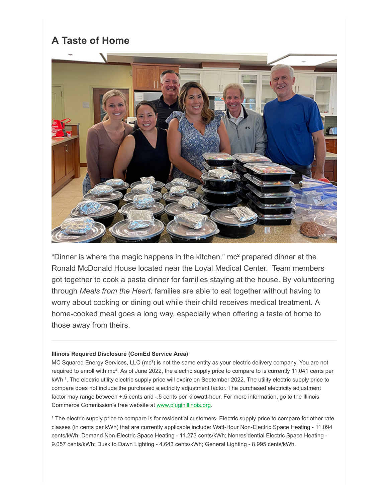## **A Taste of Home**



"Dinner is where the magic happens in the kitchen." mc² prepared dinner at the Ronald McDonald House located near the Loyal Medical Center. Team members got together to cook a pasta dinner for families staying at the house. By volunteering through *Meals from the Heart,* families are able to eat together without having to worry about cooking or dining out while their child receives medical treatment. A home-cooked meal goes a long way, especially when offering a taste of home to those away from theirs.

## **Illinois Required Disclosure (ComEd Service Area)**

MC Squared Energy Services, LLC (mc²) is not the same entity as your electric delivery company. You are not required to enroll with mc<sup>2</sup>. As of June 2022, the electric supply price to compare to is currently 11.041 cents per kWh <sup>1</sup>. The electric utility electric supply price will expire on September 2022. The utility electric supply price to compare does not include the purchased electricity adjustment factor. The purchased electricity adjustment factor may range between +.5 cents and -.5 cents per kilowatt-hour. For more information, go to the Illinois Commerce Commission's free website at [www.pluginillinois.org.](http://www.pluginillinois.org/)

<sup>1</sup> The electric supply price to compare is for residential customers. Electric supply price to compare for other rate classes (in cents per kWh) that are currently applicable include: Watt-Hour Non-Electric Space Heating - 11.094 cents/kWh; Demand Non-Electric Space Heating - 11.273 cents/kWh; Nonresidential Electric Space Heating - 9.057 cents/kWh; Dusk to Dawn Lighting - 4.643 cents/kWh; General Lighting - 8.995 cents/kWh.